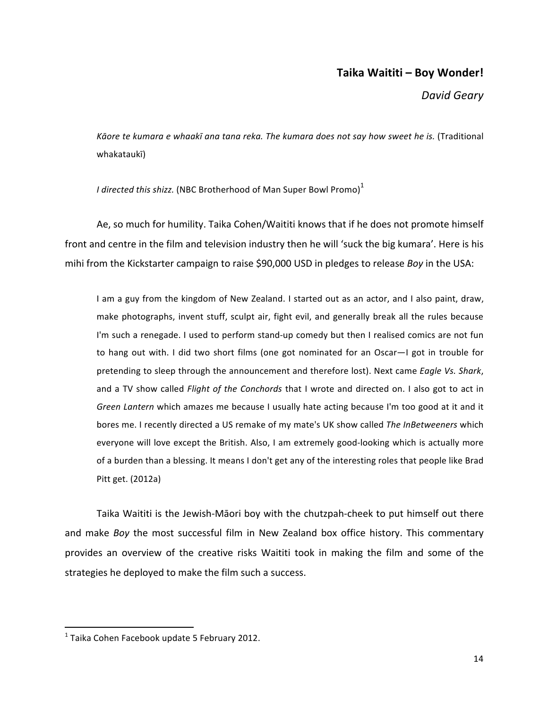# **Taika Waititi – Boy Wonder!**

*David Geary*

Kāore te kumara e whaakī ana tana reka. The kumara does not say how sweet he is. (Traditional whakataukī)

*I directed this shizz.* (NBC Brotherhood of Man Super Bowl Promo) $^1$ 

Ae, so much for humility. Taika Cohen/Waititi knows that if he does not promote himself front and centre in the film and television industry then he will 'suck the big kumara'. Here is his mihi from the Kickstarter campaign to raise \$90,000 USD in pledges to release *Boy* in the USA:

I am a guy from the kingdom of New Zealand. I started out as an actor, and I also paint, draw, make photographs, invent stuff, sculpt air, fight evil, and generally break all the rules because I'm such a renegade. I used to perform stand-up comedy but then I realised comics are not fun to hang out with. I did two short films (one got nominated for an Oscar-I got in trouble for pretending to sleep through the announcement and therefore lost). Next came *Eagle Vs. Shark*, and a TV show called *Flight of the Conchords* that I wrote and directed on. I also got to act in *Green Lantern* which amazes me because I usually hate acting because I'm too good at it and it bores me. I recently directed a US remake of my mate's UK show called *The InBetweeners* which everyone will love except the British. Also, I am extremely good-looking which is actually more of a burden than a blessing. It means I don't get any of the interesting roles that people like Brad Pitt  $get. (2012a)$ 

Taika Waititi is the Jewish-Māori boy with the chutzpah-cheek to put himself out there and make *Boy* the most successful film in New Zealand box office history. This commentary provides an overview of the creative risks Waititi took in making the film and some of the strategies he deployed to make the film such a success.

 $1$ Taika Cohen Facebook update 5 February 2012.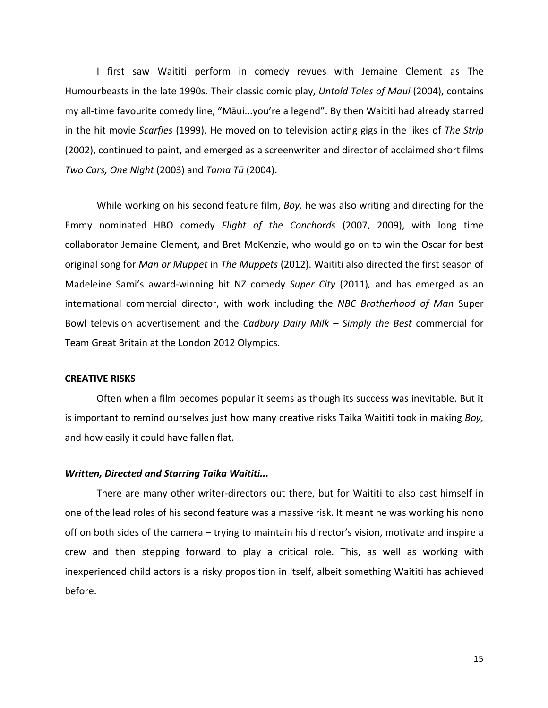I first saw Waititi perform in comedy revues with Jemaine Clement as The Humourbeasts in the late 1990s. Their classic comic play, *Untold Tales of Maui* (2004), contains my all-time favourite comedy line, "Māui...you're a legend". By then Waititi had already starred in the hit movie *Scarfies* (1999). He moved on to television acting gigs in the likes of The Strip (2002), continued to paint, and emerged as a screenwriter and director of acclaimed short films *Two Cars, One Night* (2003) and *Tama Tū* (2004). 

While working on his second feature film, *Boy*, he was also writing and directing for the Emmy nominated HBO comedy *Flight of the Conchords* (2007, 2009), with long time collaborator Jemaine Clement, and Bret McKenzie, who would go on to win the Oscar for best original song for *Man or Muppet* in *The Muppets* (2012). Waititi also directed the first season of Madeleine Sami's award-winning hit NZ comedy Super City (2011), and has emerged as an international commercial director, with work including the *NBC Brotherhood of Man* Super Bowl television advertisement and the *Cadbury Dairy Milk* – *Simply the Best* commercial for Team Great Britain at the London 2012 Olympics.

## **CREATIVE RISKS**

Often when a film becomes popular it seems as though its success was inevitable. But it is important to remind ourselves just how many creative risks Taika Waititi took in making *Boy*, and how easily it could have fallen flat.

### **Written, Directed and Starring Taika Waititi...**

There are many other writer-directors out there, but for Waititi to also cast himself in one of the lead roles of his second feature was a massive risk. It meant he was working his nono off on both sides of the camera – trying to maintain his director's vision, motivate and inspire a crew and then stepping forward to play a critical role. This, as well as working with inexperienced child actors is a risky proposition in itself, albeit something Waititi has achieved before.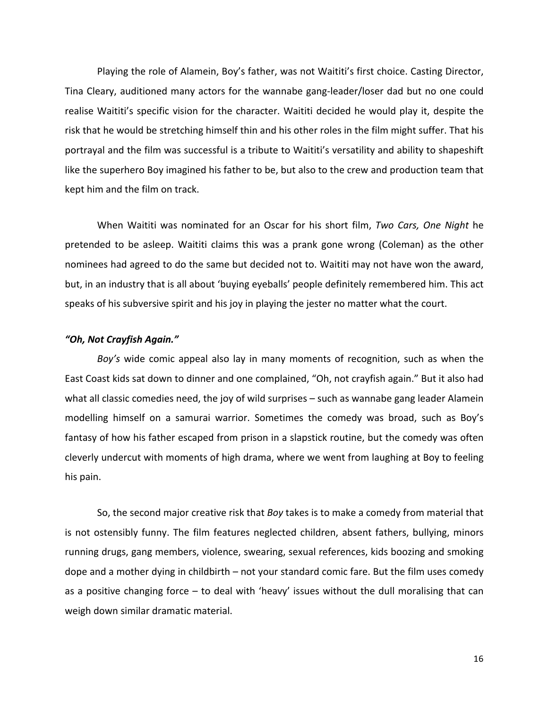Playing the role of Alamein, Boy's father, was not Waititi's first choice. Casting Director, Tina Cleary, auditioned many actors for the wannabe gang-leader/loser dad but no one could realise Waititi's specific vision for the character. Waititi decided he would play it, despite the risk that he would be stretching himself thin and his other roles in the film might suffer. That his portrayal and the film was successful is a tribute to Waititi's versatility and ability to shapeshift like the superhero Boy imagined his father to be, but also to the crew and production team that kept him and the film on track.

When Waititi was nominated for an Oscar for his short film, *Two Cars, One Night* he pretended to be asleep. Waititi claims this was a prank gone wrong (Coleman) as the other nominees had agreed to do the same but decided not to. Waititi may not have won the award, but, in an industry that is all about 'buying eyeballs' people definitely remembered him. This act speaks of his subversive spirit and his joy in playing the jester no matter what the court.

### *"Oh, Not Crayfish Again."*

*Boy's* wide comic appeal also lay in many moments of recognition, such as when the East Coast kids sat down to dinner and one complained, "Oh, not crayfish again." But it also had what all classic comedies need, the joy of wild surprises  $-$  such as wannabe gang leader Alamein modelling himself on a samurai warrior. Sometimes the comedy was broad, such as Boy's fantasy of how his father escaped from prison in a slapstick routine, but the comedy was often cleverly undercut with moments of high drama, where we went from laughing at Boy to feeling his pain.

So, the second major creative risk that *Boy* takes is to make a comedy from material that is not ostensibly funny. The film features neglected children, absent fathers, bullying, minors running drugs, gang members, violence, swearing, sexual references, kids boozing and smoking dope and a mother dying in childbirth  $-$  not your standard comic fare. But the film uses comedy as a positive changing force  $-$  to deal with 'heavy' issues without the dull moralising that can weigh down similar dramatic material.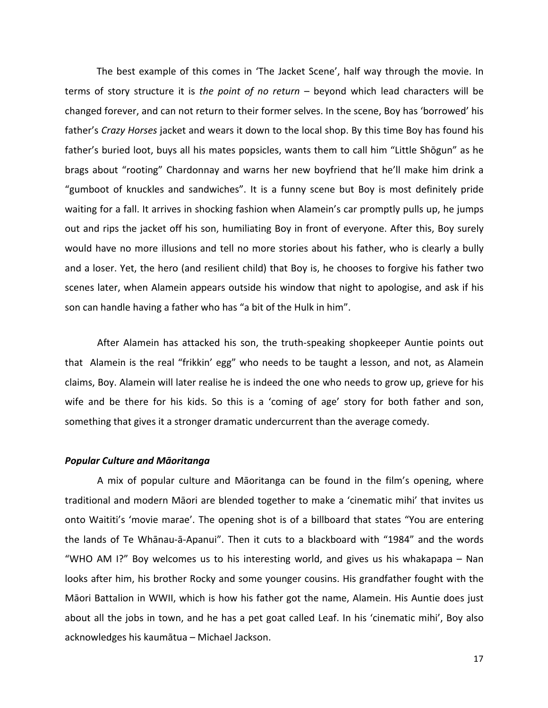The best example of this comes in 'The Jacket Scene', half way through the movie. In terms of story structure it is the point of no return – beyond which lead characters will be changed forever, and can not return to their former selves. In the scene, Boy has 'borrowed' his father's *Crazy Horses* jacket and wears it down to the local shop. By this time Boy has found his father's buried loot, buys all his mates popsicles, wants them to call him "Little Shōgun" as he brags about "rooting" Chardonnay and warns her new boyfriend that he'll make him drink a "gumboot of knuckles and sandwiches". It is a funny scene but Boy is most definitely pride waiting for a fall. It arrives in shocking fashion when Alamein's car promptly pulls up, he jumps out and rips the jacket off his son, humiliating Boy in front of everyone. After this, Boy surely would have no more illusions and tell no more stories about his father, who is clearly a bully and a loser. Yet, the hero (and resilient child) that Boy is, he chooses to forgive his father two scenes later, when Alamein appears outside his window that night to apologise, and ask if his son can handle having a father who has "a bit of the Hulk in him".

After Alamein has attacked his son, the truth-speaking shopkeeper Auntie points out that Alamein is the real "frikkin' egg" who needs to be taught a lesson, and not, as Alamein claims, Boy. Alamein will later realise he is indeed the one who needs to grow up, grieve for his wife and be there for his kids. So this is a 'coming of age' story for both father and son, something that gives it a stronger dramatic undercurrent than the average comedy.

#### *Popular Culture and Māoritanga*

A mix of popular culture and Māoritanga can be found in the film's opening, where traditional and modern Māori are blended together to make a 'cinematic mihi' that invites us onto Waititi's 'movie marae'. The opening shot is of a billboard that states "You are entering the lands of Te Whānau-ā-Apanui". Then it cuts to a blackboard with "1984" and the words "WHO AM I?" Boy welcomes us to his interesting world, and gives us his whakapapa - Nan looks after him, his brother Rocky and some younger cousins. His grandfather fought with the Māori Battalion in WWII, which is how his father got the name, Alamein. His Auntie does just about all the jobs in town, and he has a pet goat called Leaf. In his 'cinematic mihi', Boy also acknowledges his kaumātua – Michael Jackson.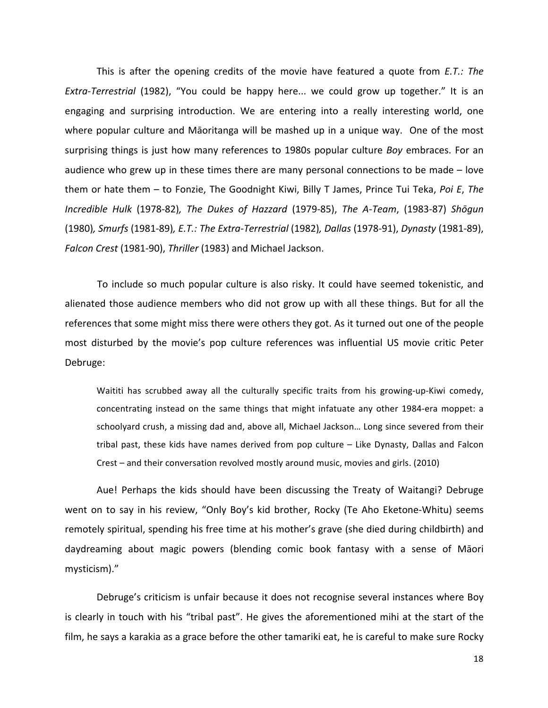This is after the opening credits of the movie have featured a quote from *E.T.:* The *Extra-Terrestrial* (1982), "You could be happy here... we could grow up together." It is an engaging and surprising introduction. We are entering into a really interesting world, one where popular culture and Māoritanga will be mashed up in a unique way. One of the most surprising things is just how many references to 1980s popular culture *Boy* embraces. For an audience who grew up in these times there are many personal connections to be made  $-$  love them or hate them – to Fonzie, The Goodnight Kiwi, Billy T James, Prince Tui Teka, *Poi E*, The *Incredible Hulk* (1978-82)*, The Dukes of Hazzard* (1979-85), *The A-Team*, (1983-87) *Shōgun* (1980)*, Smurfs* (1981-89)*, E.T.: The Extra-Terrestrial* (1982)*, Dallas* (1978-91), *Dynasty* (1981-89), *Falcon Crest* (1981-90), *Thriller* (1983) and Michael Jackson.

To include so much popular culture is also risky. It could have seemed tokenistic, and alienated those audience members who did not grow up with all these things. But for all the references that some might miss there were others they got. As it turned out one of the people most disturbed by the movie's pop culture references was influential US movie critic Peter Debruge:

Waititi has scrubbed away all the culturally specific traits from his growing-up-Kiwi comedy, concentrating instead on the same things that might infatuate any other 1984-era moppet: a schoolyard crush, a missing dad and, above all, Michael Jackson... Long since severed from their tribal past, these kids have names derived from pop culture - Like Dynasty, Dallas and Falcon Crest – and their conversation revolved mostly around music, movies and girls. (2010)

Aue! Perhaps the kids should have been discussing the Treaty of Waitangi? Debruge went on to say in his review, "Only Boy's kid brother, Rocky (Te Aho Eketone-Whitu) seems remotely spiritual, spending his free time at his mother's grave (she died during childbirth) and daydreaming about magic powers (blending comic book fantasy with a sense of Māori mysticism)."

Debruge's criticism is unfair because it does not recognise several instances where Boy is clearly in touch with his "tribal past". He gives the aforementioned mihi at the start of the film, he says a karakia as a grace before the other tamariki eat, he is careful to make sure Rocky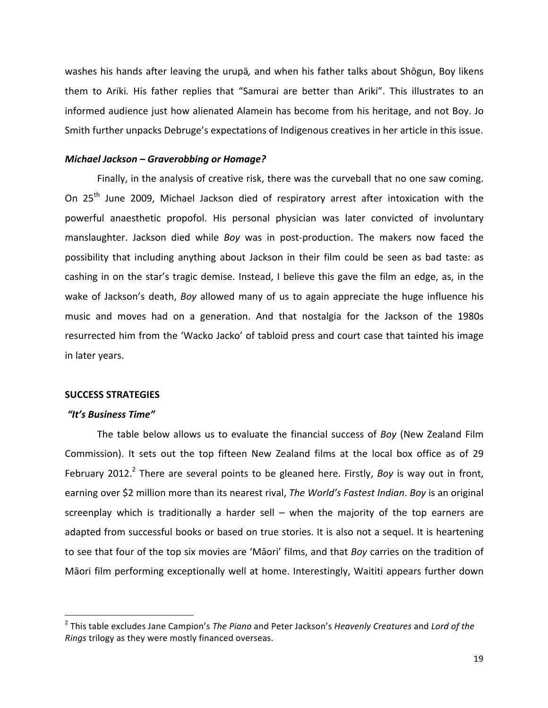washes his hands after leaving the urupā, and when his father talks about Shōgun, Boy likens them to Ariki. His father replies that "Samurai are better than Ariki". This illustrates to an informed audience just how alienated Alamein has become from his heritage, and not Boy. Jo Smith further unpacks Debruge's expectations of Indigenous creatives in her article in this issue.

### *Michael Jackson – Graverobbing or Homage?*

Finally, in the analysis of creative risk, there was the curveball that no one saw coming. On 25<sup>th</sup> June 2009, Michael Jackson died of respiratory arrest after intoxication with the powerful anaesthetic propofol. His personal physician was later convicted of involuntary manslaughter. Jackson died while *Boy* was in post-production. The makers now faced the possibility that including anything about Jackson in their film could be seen as bad taste: as cashing in on the star's tragic demise. Instead, I believe this gave the film an edge, as, in the wake of Jackson's death, *Boy* allowed many of us to again appreciate the huge influence his music and moves had on a generation. And that nostalgia for the Jackson of the 1980s resurrected him from the 'Wacko Jacko' of tabloid press and court case that tainted his image in later years.

### **SUCCESS STRATEGIES**

# *"It's Business Time"*

 

The table below allows us to evaluate the financial success of *Boy* (New Zealand Film Commission). It sets out the top fifteen New Zealand films at the local box office as of 29 February 2012.<sup>2</sup> There are several points to be gleaned here. Firstly, *Boy* is way out in front, earning over \$2 million more than its nearest rival, *The World's Fastest Indian. Boy* is an original screenplay which is traditionally a harder sell – when the majority of the top earners are adapted from successful books or based on true stories. It is also not a sequel. It is heartening to see that four of the top six movies are 'Māori' films, and that *Boy* carries on the tradition of Māori film performing exceptionally well at home. Interestingly, Waititi appears further down

<sup>&</sup>lt;sup>2</sup> This table excludes Jane Campion's *The Piano* and Peter Jackson's *Heavenly Creatures* and *Lord of the Rings* trilogy as they were mostly financed overseas.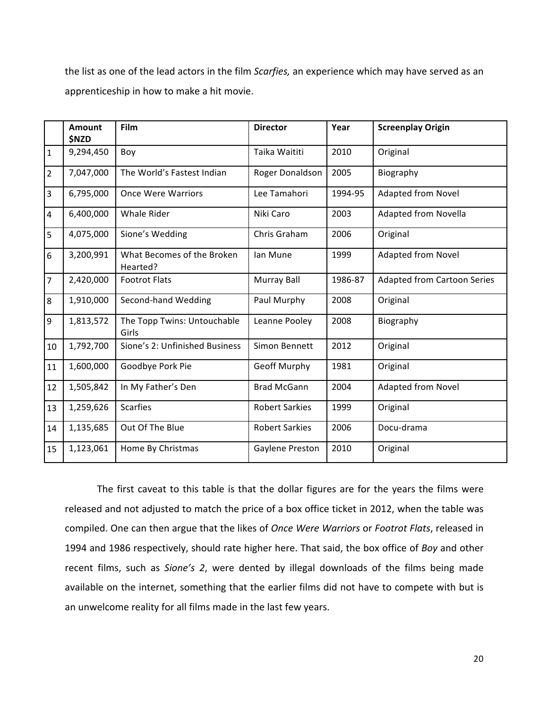the list as one of the lead actors in the film *Scarfies*, an experience which may have served as an apprenticeship in how to make a hit movie.

|                | Amount<br><b>\$NZD</b> | Film                                   | <b>Director</b>       | Year    | <b>Screenplay Origin</b>           |
|----------------|------------------------|----------------------------------------|-----------------------|---------|------------------------------------|
| $\mathbf{1}$   | 9,294,450              | Boy                                    | Taika Waititi         | 2010    | Original                           |
| $\overline{2}$ | 7,047,000              | The World's Fastest Indian             | Roger Donaldson       | 2005    | Biography                          |
| 3              | 6,795,000              | <b>Once Were Warriors</b>              | Lee Tamahori          | 1994-95 | <b>Adapted from Novel</b>          |
| 4              | 6,400,000              | <b>Whale Rider</b>                     | Niki Caro             | 2003    | Adapted from Novella               |
| 5              | 4,075,000              | Sione's Wedding                        | Chris Graham          | 2006    | Original                           |
| 6              | 3,200,991              | What Becomes of the Broken<br>Hearted? | lan Mune              | 1999    | <b>Adapted from Novel</b>          |
| $\overline{7}$ | 2,420,000              | <b>Footrot Flats</b>                   | Murray Ball           | 1986-87 | <b>Adapted from Cartoon Series</b> |
| 8              | 1,910,000              | Second-hand Wedding                    | Paul Murphy           | 2008    | Original                           |
| 9              | 1,813,572              | The Topp Twins: Untouchable<br>Girls   | Leanne Pooley         | 2008    | Biography                          |
| 10             | 1,792,700              | Sione's 2: Unfinished Business         | Simon Bennett         | 2012    | Original                           |
| 11             | 1,600,000              | Goodbye Pork Pie                       | <b>Geoff Murphy</b>   | 1981    | Original                           |
| 12             | 1,505,842              | In My Father's Den                     | <b>Brad McGann</b>    | 2004    | <b>Adapted from Novel</b>          |
| 13             | 1,259,626              | <b>Scarfies</b>                        | <b>Robert Sarkies</b> | 1999    | Original                           |
| 14             | 1,135,685              | Out Of The Blue                        | <b>Robert Sarkies</b> | 2006    | Docu-drama                         |
| 15             | 1,123,061              | Home By Christmas                      | Gaylene Preston       | 2010    | Original                           |

The first caveat to this table is that the dollar figures are for the years the films were released and not adjusted to match the price of a box office ticket in 2012, when the table was compiled. One can then argue that the likes of *Once Were Warriors* or *Footrot Flats*, released in 1994 and 1986 respectively, should rate higher here. That said, the box office of Boy and other recent films, such as Sione's 2, were dented by illegal downloads of the films being made available on the internet, something that the earlier films did not have to compete with but is an unwelcome reality for all films made in the last few years.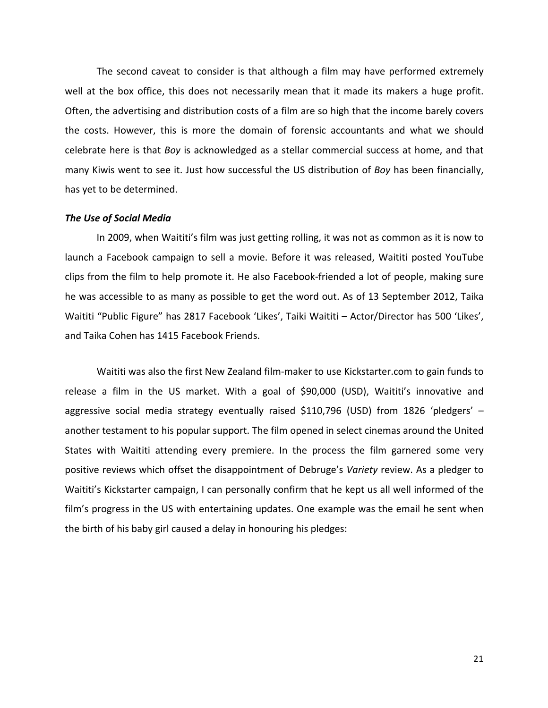The second caveat to consider is that although a film may have performed extremely well at the box office, this does not necessarily mean that it made its makers a huge profit. Often, the advertising and distribution costs of a film are so high that the income barely covers the costs. However, this is more the domain of forensic accountants and what we should celebrate here is that *Boy* is acknowledged as a stellar commercial success at home, and that many Kiwis went to see it. Just how successful the US distribution of *Boy* has been financially, has yet to be determined.

### **The Use of Social Media**

In 2009, when Waititi's film was just getting rolling, it was not as common as it is now to launch a Facebook campaign to sell a movie. Before it was released, Waititi posted YouTube clips from the film to help promote it. He also Facebook-friended a lot of people, making sure he was accessible to as many as possible to get the word out. As of 13 September 2012, Taika Waititi "Public Figure" has 2817 Facebook 'Likes', Taiki Waititi – Actor/Director has 500 'Likes', and Taika Cohen has 1415 Facebook Friends.

Waititi was also the first New Zealand film-maker to use Kickstarter.com to gain funds to release a film in the US market. With a goal of \$90,000 (USD), Waititi's innovative and aggressive social media strategy eventually raised  $$110,796$  (USD) from 1826 'pledgers' – another testament to his popular support. The film opened in select cinemas around the United States with Waititi attending every premiere. In the process the film garnered some very positive reviews which offset the disappointment of Debruge's *Variety* review. As a pledger to Waititi's Kickstarter campaign, I can personally confirm that he kept us all well informed of the film's progress in the US with entertaining updates. One example was the email he sent when the birth of his baby girl caused a delay in honouring his pledges: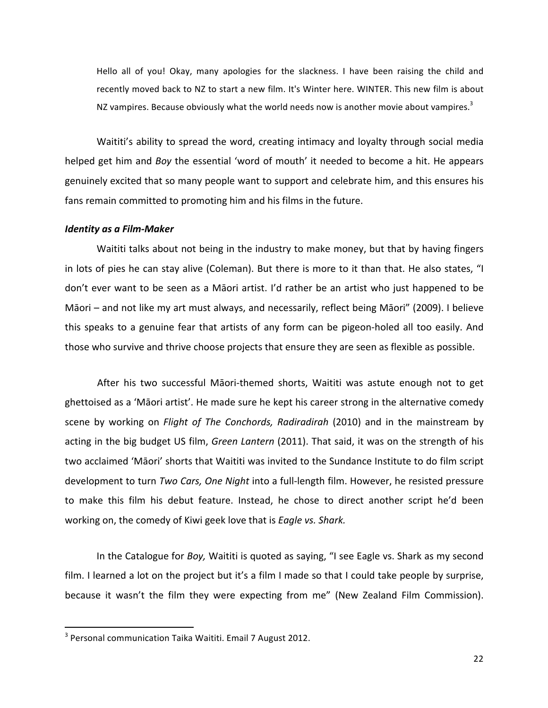Hello all of you! Okay, many apologies for the slackness. I have been raising the child and recently moved back to NZ to start a new film. It's Winter here. WINTER. This new film is about NZ vampires. Because obviously what the world needs now is another movie about vampires.<sup>3</sup>

Waititi's ability to spread the word, creating intimacy and loyalty through social media helped get him and *Boy* the essential 'word of mouth' it needed to become a hit. He appears genuinely excited that so many people want to support and celebrate him, and this ensures his fans remain committed to promoting him and his films in the future.

#### *Identity as a Film-Maker*

Waititi talks about not being in the industry to make money, but that by having fingers in lots of pies he can stay alive (Coleman). But there is more to it than that. He also states, "I don't ever want to be seen as a Māori artist. I'd rather be an artist who just happened to be Māori – and not like my art must always, and necessarily, reflect being Māori" (2009). I believe this speaks to a genuine fear that artists of any form can be pigeon-holed all too easily. And those who survive and thrive choose projects that ensure they are seen as flexible as possible.

After his two successful Māori-themed shorts, Waititi was astute enough not to get ghettoised as a 'Māori artist'. He made sure he kept his career strong in the alternative comedy scene by working on *Flight of The Conchords, Radiradirah* (2010) and in the mainstream by acting in the big budget US film, Green Lantern (2011). That said, it was on the strength of his two acclaimed 'Māori' shorts that Waititi was invited to the Sundance Institute to do film script development to turn *Two Cars, One Night* into a full-length film. However, he resisted pressure to make this film his debut feature. Instead, he chose to direct another script he'd been working on, the comedy of Kiwi geek love that is *Eagle vs. Shark.* 

In the Catalogue for *Boy*, Waititi is quoted as saying, "I see Eagle vs. Shark as my second film. I learned a lot on the project but it's a film I made so that I could take people by surprise, because it wasn't the film they were expecting from me" (New Zealand Film Commission).

 $3$  Personal communication Taika Waititi. Email 7 August 2012.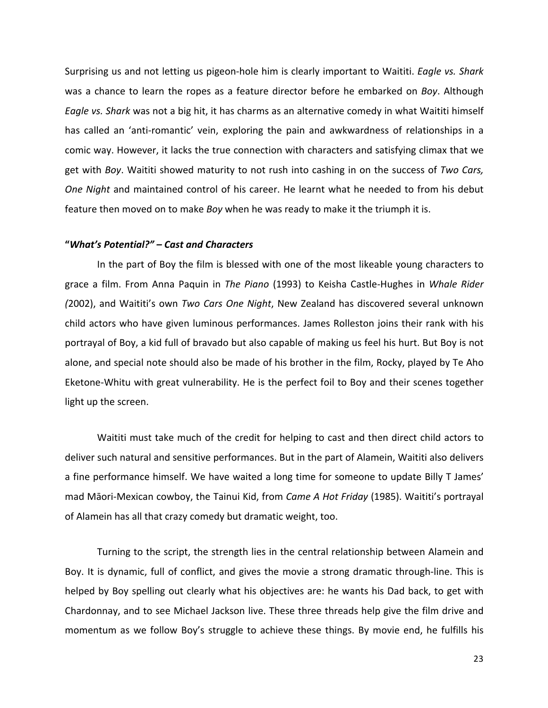Surprising us and not letting us pigeon-hole him is clearly important to Waititi. *Eagle vs. Shark* was a chance to learn the ropes as a feature director before he embarked on *Boy*. Although *Eagle vs. Shark* was not a big hit, it has charms as an alternative comedy in what Waititi himself has called an 'anti-romantic' vein, exploring the pain and awkwardness of relationships in a comic way. However, it lacks the true connection with characters and satisfying climax that we get with *Boy*. Waititi showed maturity to not rush into cashing in on the success of *Two Cars, One* Night and maintained control of his career. He learnt what he needed to from his debut feature then moved on to make *Boy* when he was ready to make it the triumph it is.

#### **"***What's Potential?" – Cast and Characters*

In the part of Boy the film is blessed with one of the most likeable young characters to grace a film. From Anna Paquin in *The Piano* (1993) to Keisha Castle-Hughes in *Whale Rider* (2002), and Waititi's own *Two Cars One Night*, New Zealand has discovered several unknown child actors who have given luminous performances. James Rolleston joins their rank with his portrayal of Boy, a kid full of bravado but also capable of making us feel his hurt. But Boy is not alone, and special note should also be made of his brother in the film, Rocky, played by Te Aho Eketone-Whitu with great vulnerability. He is the perfect foil to Boy and their scenes together light up the screen.

Waititi must take much of the credit for helping to cast and then direct child actors to deliver such natural and sensitive performances. But in the part of Alamein, Waititi also delivers a fine performance himself. We have waited a long time for someone to update Billy T James' mad Māori-Mexican cowboy, the Tainui Kid, from *Came A Hot Friday* (1985). Waititi's portrayal of Alamein has all that crazy comedy but dramatic weight, too.

Turning to the script, the strength lies in the central relationship between Alamein and Boy. It is dynamic, full of conflict, and gives the movie a strong dramatic through-line. This is helped by Boy spelling out clearly what his objectives are: he wants his Dad back, to get with Chardonnay, and to see Michael Jackson live. These three threads help give the film drive and momentum as we follow Boy's struggle to achieve these things. By movie end, he fulfills his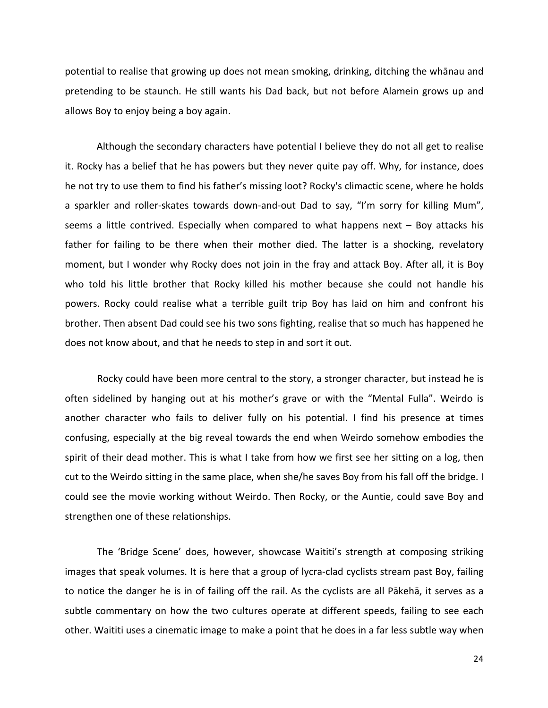potential to realise that growing up does not mean smoking, drinking, ditching the whanau and pretending to be staunch. He still wants his Dad back, but not before Alamein grows up and allows Boy to enjoy being a boy again.

Although the secondary characters have potential I believe they do not all get to realise it. Rocky has a belief that he has powers but they never quite pay off. Why, for instance, does he not try to use them to find his father's missing loot? Rocky's climactic scene, where he holds a sparkler and roller-skates towards down-and-out Dad to say, "I'm sorry for killing Mum", seems a little contrived. Especially when compared to what happens next  $-$  Boy attacks his father for failing to be there when their mother died. The latter is a shocking, revelatory moment, but I wonder why Rocky does not join in the fray and attack Boy. After all, it is Boy who told his little brother that Rocky killed his mother because she could not handle his powers. Rocky could realise what a terrible guilt trip Boy has laid on him and confront his brother. Then absent Dad could see his two sons fighting, realise that so much has happened he does not know about, and that he needs to step in and sort it out.

Rocky could have been more central to the story, a stronger character, but instead he is often sidelined by hanging out at his mother's grave or with the "Mental Fulla". Weirdo is another character who fails to deliver fully on his potential. I find his presence at times confusing, especially at the big reveal towards the end when Weirdo somehow embodies the spirit of their dead mother. This is what I take from how we first see her sitting on a log, then cut to the Weirdo sitting in the same place, when she/he saves Boy from his fall off the bridge. I could see the movie working without Weirdo. Then Rocky, or the Auntie, could save Boy and strengthen one of these relationships.

The 'Bridge Scene' does, however, showcase Waititi's strength at composing striking images that speak volumes. It is here that a group of lycra-clad cyclists stream past Boy, failing to notice the danger he is in of failing off the rail. As the cyclists are all Pākehā, it serves as a subtle commentary on how the two cultures operate at different speeds, failing to see each other. Waititi uses a cinematic image to make a point that he does in a far less subtle way when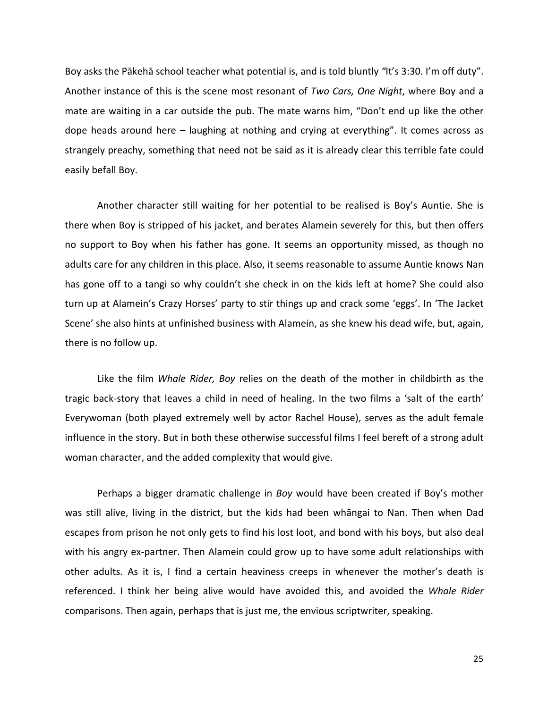Boy asks the Pākehā school teacher what potential is, and is told bluntly "It's 3:30. I'm off duty". Another instance of this is the scene most resonant of *Two Cars, One Night*, where Boy and a mate are waiting in a car outside the pub. The mate warns him, "Don't end up like the other dope heads around here  $-$  laughing at nothing and crying at everything". It comes across as strangely preachy, something that need not be said as it is already clear this terrible fate could easily befall Boy.

Another character still waiting for her potential to be realised is Boy's Auntie. She is there when Boy is stripped of his jacket, and berates Alamein severely for this, but then offers no support to Boy when his father has gone. It seems an opportunity missed, as though no adults care for any children in this place. Also, it seems reasonable to assume Auntie knows Nan has gone off to a tangi so why couldn't she check in on the kids left at home? She could also turn up at Alamein's Crazy Horses' party to stir things up and crack some 'eggs'. In 'The Jacket Scene' she also hints at unfinished business with Alamein, as she knew his dead wife, but, again, there is no follow up.

Like the film *Whale Rider, Boy* relies on the death of the mother in childbirth as the tragic back-story that leaves a child in need of healing. In the two films a 'salt of the earth' Everywoman (both played extremely well by actor Rachel House), serves as the adult female influence in the story. But in both these otherwise successful films I feel bereft of a strong adult woman character, and the added complexity that would give.

Perhaps a bigger dramatic challenge in *Boy* would have been created if Boy's mother was still alive, living in the district, but the kids had been whāngai to Nan. Then when Dad escapes from prison he not only gets to find his lost loot, and bond with his boys, but also deal with his angry ex-partner. Then Alamein could grow up to have some adult relationships with other adults. As it is, I find a certain heaviness creeps in whenever the mother's death is referenced. I think her being alive would have avoided this, and avoided the Whale Rider comparisons. Then again, perhaps that is just me, the envious scriptwriter, speaking.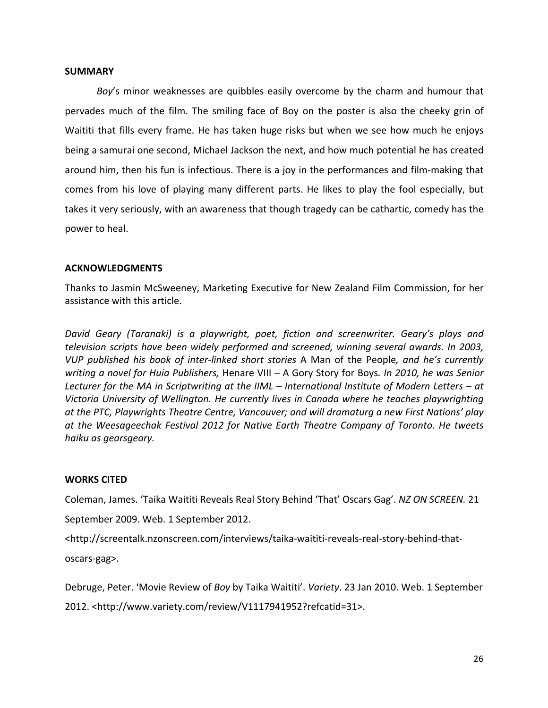### **SUMMARY**

*Boy's* minor weaknesses are quibbles easily overcome by the charm and humour that pervades much of the film. The smiling face of Boy on the poster is also the cheeky grin of Waititi that fills every frame. He has taken huge risks but when we see how much he enjoys being a samurai one second, Michael Jackson the next, and how much potential he has created around him, then his fun is infectious. There is a joy in the performances and film-making that comes from his love of playing many different parts. He likes to play the fool especially, but takes it very seriously, with an awareness that though tragedy can be cathartic, comedy has the power to heal.

# **ACKNOWLEDGMENTS**

Thanks to Jasmin McSweeney, Marketing Executive for New Zealand Film Commission, for her assistance with this article.

David Geary (Taranaki) is a playwright, poet, fiction and screenwriter. Geary's plays and *television scripts have been widely performed and screened, winning several awards. In 2003, VUP* published his book of inter-linked short stories A Man of the People, and he's currently writing a novel for Huia Publishers, Henare VIII - A Gory Story for Boys. In 2010, he was Senior *Lecturer for the MA in Scriptwriting at the IIML – International Institute of Modern Letters – at* Victoria University of Wellington. He currently lives in Canada where he teaches playwrighting at the PTC, Playwrights Theatre Centre, Vancouver; and will dramaturg a new First Nations' play at the Weesageechak Festival 2012 for Native Earth Theatre Company of Toronto. He tweets *haiku as gearsgeary.*

## **WORKS CITED**

Coleman, James. 'Taika Waititi Reveals Real Story Behind 'That' Oscars Gag'. NZ ON SCREEN. 21 September 2009. Web. 1 September 2012.

<http://screentalk.nzonscreen.com/interviews/taika-waititi-reveals-real-story-behind-that-

oscars-gag>.

Debruge, Peter. 'Movie Review of *Boy* by Taika Waititi'. *Variety*. 23 Jan 2010. Web. 1 September 2012. <http://www.variety.com/review/V1117941952?refcatid=31>.